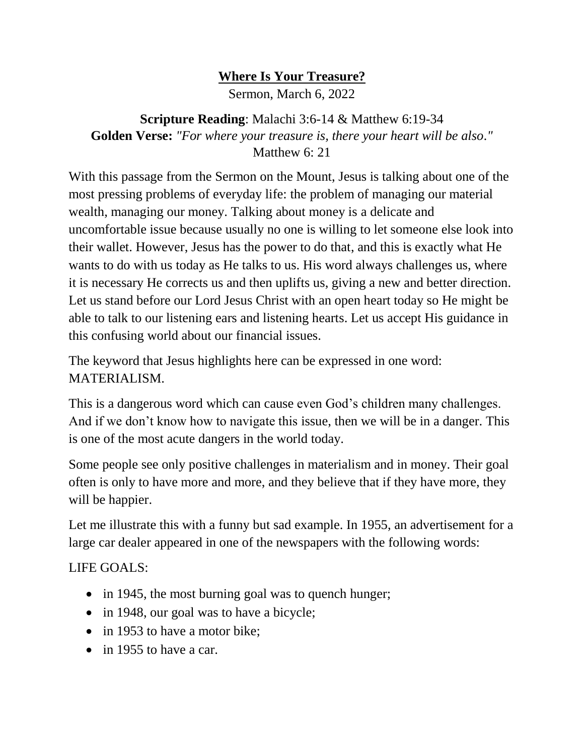## **Where Is Your Treasure?**

Sermon, March 6, 2022

**Scripture Reading**: Malachi 3:6-14 & Matthew 6:19-34 **Golden Verse:** *"For where your treasure is, there your heart will be also."* Matthew 6: 21

With this passage from the Sermon on the Mount, Jesus is talking about one of the most pressing problems of everyday life: the problem of managing our material wealth, managing our money. Talking about money is a delicate and uncomfortable issue because usually no one is willing to let someone else look into their wallet. However, Jesus has the power to do that, and this is exactly what He wants to do with us today as He talks to us. His word always challenges us, where it is necessary He corrects us and then uplifts us, giving a new and better direction. Let us stand before our Lord Jesus Christ with an open heart today so He might be able to talk to our listening ears and listening hearts. Let us accept His guidance in this confusing world about our financial issues.

The keyword that Jesus highlights here can be expressed in one word: MATERIALISM.

This is a dangerous word which can cause even God's children many challenges. And if we don't know how to navigate this issue, then we will be in a danger. This is one of the most acute dangers in the world today.

Some people see only positive challenges in materialism and in money. Their goal often is only to have more and more, and they believe that if they have more, they will be happier.

Let me illustrate this with a funny but sad example. In 1955, an advertisement for a large car dealer appeared in one of the newspapers with the following words:

## LIFE GOALS:

- in 1945, the most burning goal was to quench hunger;
- in 1948, our goal was to have a bicycle;
- in 1953 to have a motor bike:
- in 1955 to have a car.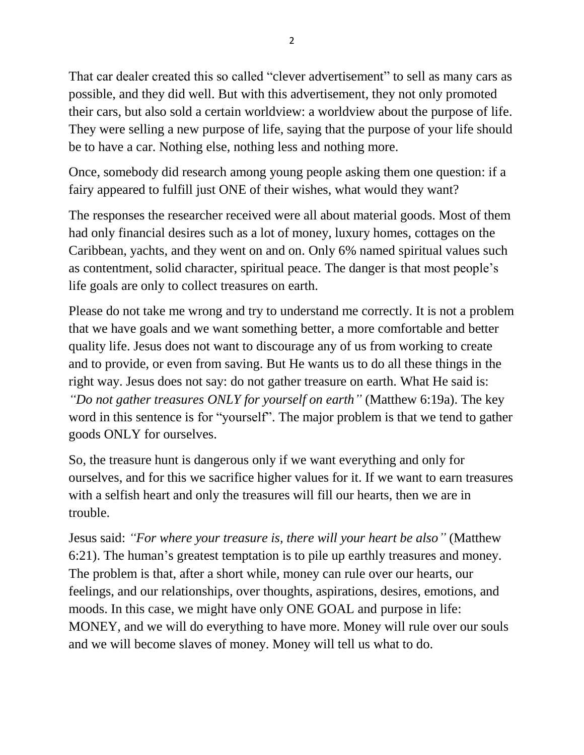That car dealer created this so called "clever advertisement" to sell as many cars as possible, and they did well. But with this advertisement, they not only promoted their cars, but also sold a certain worldview: a worldview about the purpose of life. They were selling a new purpose of life, saying that the purpose of your life should be to have a car. Nothing else, nothing less and nothing more.

Once, somebody did research among young people asking them one question: if a fairy appeared to fulfill just ONE of their wishes, what would they want?

The responses the researcher received were all about material goods. Most of them had only financial desires such as a lot of money, luxury homes, cottages on the Caribbean, yachts, and they went on and on. Only 6% named spiritual values such as contentment, solid character, spiritual peace. The danger is that most people's life goals are only to collect treasures on earth.

Please do not take me wrong and try to understand me correctly. It is not a problem that we have goals and we want something better, a more comfortable and better quality life. Jesus does not want to discourage any of us from working to create and to provide, or even from saving. But He wants us to do all these things in the right way. Jesus does not say: do not gather treasure on earth. What He said is: *"Do not gather treasures ONLY for yourself on earth"* (Matthew 6:19a). The key word in this sentence is for "yourself". The major problem is that we tend to gather goods ONLY for ourselves.

So, the treasure hunt is dangerous only if we want everything and only for ourselves, and for this we sacrifice higher values for it. If we want to earn treasures with a selfish heart and only the treasures will fill our hearts, then we are in trouble.

Jesus said: *"For where your treasure is, there will your heart be also"* (Matthew 6:21). The human's greatest temptation is to pile up earthly treasures and money. The problem is that, after a short while, money can rule over our hearts, our feelings, and our relationships, over thoughts, aspirations, desires, emotions, and moods. In this case, we might have only ONE GOAL and purpose in life: MONEY, and we will do everything to have more. Money will rule over our souls and we will become slaves of money. Money will tell us what to do.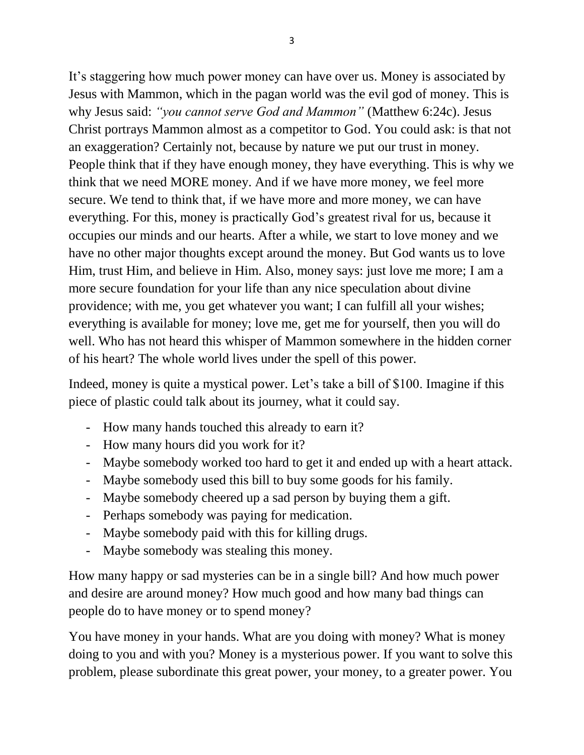It's staggering how much power money can have over us. Money is associated by Jesus with Mammon, which in the pagan world was the evil god of money. This is why Jesus said: *"you cannot serve God and Mammon"* (Matthew 6:24c). Jesus Christ portrays Mammon almost as a competitor to God. You could ask: is that not an exaggeration? Certainly not, because by nature we put our trust in money. People think that if they have enough money, they have everything. This is why we think that we need MORE money. And if we have more money, we feel more secure. We tend to think that, if we have more and more money, we can have everything. For this, money is practically God's greatest rival for us, because it occupies our minds and our hearts. After a while, we start to love money and we have no other major thoughts except around the money. But God wants us to love Him, trust Him, and believe in Him. Also, money says: just love me more; I am a more secure foundation for your life than any nice speculation about divine providence; with me, you get whatever you want; I can fulfill all your wishes; everything is available for money; love me, get me for yourself, then you will do well. Who has not heard this whisper of Mammon somewhere in the hidden corner of his heart? The whole world lives under the spell of this power.

Indeed, money is quite a mystical power. Let's take a bill of \$100. Imagine if this piece of plastic could talk about its journey, what it could say.

- How many hands touched this already to earn it?
- How many hours did you work for it?
- Maybe somebody worked too hard to get it and ended up with a heart attack.
- Maybe somebody used this bill to buy some goods for his family.
- Maybe somebody cheered up a sad person by buying them a gift.
- Perhaps somebody was paying for medication.
- Maybe somebody paid with this for killing drugs.
- Maybe somebody was stealing this money.

How many happy or sad mysteries can be in a single bill? And how much power and desire are around money? How much good and how many bad things can people do to have money or to spend money?

You have money in your hands. What are you doing with money? What is money doing to you and with you? Money is a mysterious power. If you want to solve this problem, please subordinate this great power, your money, to a greater power. You